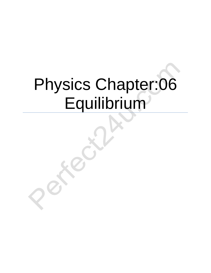# Physics Chapter:06 Equilibrium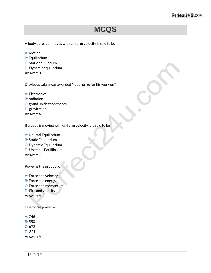### **MCQS**

A body at rest or moves with uniform velocity is said to be

A: Motion B: Equilibrium C: Static equilibrium D: Dynamic equilibrium Answer: B

Dr.Abdus salam was awarded Nobel prize for his work on?

A: Electronics B: radiation C: grand unification theory D: gravitation Answer: A

If a body is moving with uniform velocity it is said to be in:

- A: Neutral Equilibrium
- B: Static Equilibrium
- C: Dynamic Equilibrium
- D: Unstable Equilibrium

Answer: C

Power is the product of

A: Force and velocity B: Force and energy C: Force and momentum D: Fire and velocity

Answer: A

One horse power =

A: 746 B: 550 C: 672

D: 321

Answer: A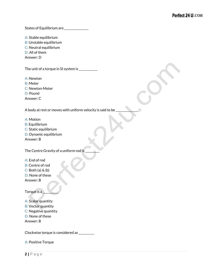States of Equilibrium are \_\_\_\_\_\_\_\_\_\_\_\_\_\_

A: Stable equilibrium

B: Unstable equilibrium

C: Neutral equilibrium

D: All of them

Answer: D

The unit of a torque in SI system is \_\_\_\_\_\_\_\_\_\_\_

A: Newton

B: Meter

C: Newton-Meter

D: Pound

Answer: C

A body at rest or moves with uniform velocity is said to be

A: Motion

B: Equilibrium

C: Static equilibrium

D: Dynamic equilibrium

Answer: B

The Centre Gravity of a uniform rod is

A: End of rod

B: Centre of rod

 $C:$  Both (a)  $\&$  (b)

D: None of these

Answer: B

Torque is a \_\_\_\_\_\_\_\_\_\_\_

A: Scalar quantity

B: Vector quantity

C: Negative quantity

D: None of these

Answer: B

Clockwise torque is considered as \_\_\_\_\_\_\_\_\_\_\_

A: Positive Torque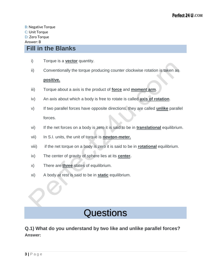#### **Fill in the Blanks**

- i) Torque is a **vector** quantity.
- ii) Conventionally the torque producing counter clockwise rotation is taken as

#### **positive.**

- iii) Torque about a axis is the product of **force** and **moment arm**.
- iv) An axis about which a body is free to rotate is called **axis of rotation**.
- v) If two parallel forces have opposite directions, they are called **unlike** parallel forces.
- vi) If the net forces on a body is zero it is said to be in **translational** equilibrium.
- vii) In S.I. units, the unit of torque is **newton-meter.**
- viii) if the net torque on a body is zero it is said to be in **rotational** equilibrium.
- ix) The center of gravity of sphere lies at its **center.**
- x) There are **three** states of equilibrium.
- xi) A body at rest is said to be in **static** equilibrium.

## **Questions**

#### **Q.1) What do you understand by two like and unlike parallel forces? Answer:**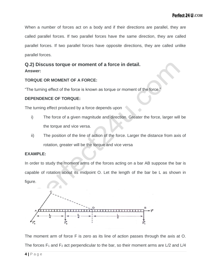When a number of forces act on a body and if their directions are parallel, they are called parallel forces. If two parallel forces have the same direction, they are called parallel forces. If two parallel forces have opposite directions, they are called unlike parallel forces.

#### **Q.2) Discuss torque or moment of a force in detail. Answer:**

#### **TORQUE OR MOMENT OF A FORCE:**

"The turning effect of the force is known as torque or moment of the force."

#### **DEPENDENCE OF TORQUE:**

The turning effect produced by a force depends upon

- i) The force of a given magnitude and direction. Greater the force, larger will be the torque and vice versa.
- ii) The position of the line of action of the force. Larger the distance from axis of rotation, greater will be the torque and vice versa

#### **EXAMPLE:**

In order to study the moment arms of the forces acting on a bar AB suppose the bar is capable of rotation about its midpoint O. Let the length of the bar be L as shown in figure.



The moment arm of force F is zero as its line of action passes through the axis at O. The forces  $F_1$  and  $F_2$  act perpendicular to the bar, so their moment arms are  $L/2$  and  $L/4$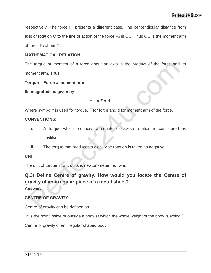respectively. The force  $F_3$  presents a different case. The perpendicular distance from axis of rotation O to the line of action of the force  $F_3$  is OC. Thus OC is the moment arm of force F<sup>3</sup> about O.

#### **MATHEMATICAL RELATION:**

The torque or moment of a force about an axis is the product of the force and its moment arm. Thus

**Torque = Force x moment arm**

**Its magnitude is given by**

#### **τ = F x d**

Where symbol τ is used for torque, F for force and d for moment arm of the force.

#### **CONVENTIONS:**

- i. A torque which produces a counter-clockwise rotation is considered as positive.
- ii. The torque that produces a clockwise rotation is taken as negative.

#### **UNIT:**

The unit of torque in S.I. units is newton-meter i.e. N-m.

#### **Q.3) Define Centre of gravity. How would you locate the Centre of gravity of an irregular piece of a metal sheet? Answer:**

#### **CENTRE OF GRAVITY:**

Centre of gravity can be defined as

"It is the point inside or outside a body at which the whole weight of the body is acting."

Centre of gravity of an irregular shaped body: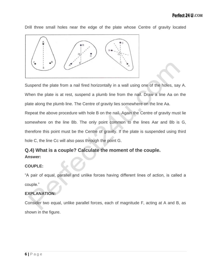Drill three small holes near the edge of the plate whose Centre of gravity located

Suspend the plate from a nail fired horizontally in a wall using one of the holes, say A. When the plate is at rest, suspend a plumb line from the nail. Draw a line Aa on the plate along the plumb line. The Centre of gravity lies somewhere on the line Aa.

Repeat the above procedure with hole B on the nail. Again the Centre of gravity must lie somewhere on the line Bb. The only point common to the lines Aar and Bb is G, therefore this point must be the Centre of gravity. If the plate is suspended using third hole C, the line Cc will also pass through the point G.

#### **Q.4) What is a couple? Calculate the moment of the couple. Answer:**

#### **COUPLE:**

"A pair of equal, parallel and unlike forces having different lines of action, is called a couple."

#### **EXPLANATION:**

Consider two equal, unlike parallel forces, each of magnitude F, acting at A and B, as shown in the figure.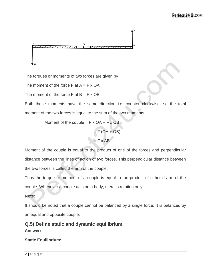$$
\begin{bmatrix}\n\frac{1}{2} & \frac{1}{2} & \frac{1}{2} & \frac{1}{2} & \frac{1}{2} & \frac{1}{2} & \frac{1}{2} & \frac{1}{2} & \frac{1}{2} & \frac{1}{2} & \frac{1}{2} & \frac{1}{2} & \frac{1}{2} & \frac{1}{2} & \frac{1}{2} & \frac{1}{2} & \frac{1}{2} & \frac{1}{2} & \frac{1}{2} & \frac{1}{2} & \frac{1}{2} & \frac{1}{2} & \frac{1}{2} & \frac{1}{2} & \frac{1}{2} & \frac{1}{2} & \frac{1}{2} & \frac{1}{2} & \frac{1}{2} & \frac{1}{2} & \frac{1}{2} & \frac{1}{2} & \frac{1}{2} & \frac{1}{2} & \frac{1}{2} & \frac{1}{2} & \frac{1}{2} & \frac{1}{2} & \frac{1}{2} & \frac{1}{2} & \frac{1}{2} & \frac{1}{2} & \frac{1}{2} & \frac{1}{2} & \frac{1}{2} & \frac{1}{2} & \frac{1}{2} & \frac{1}{2} & \frac{1}{2} & \frac{1}{2} & \frac{1}{2} & \frac{1}{2} & \frac{1}{2} & \frac{1}{2} & \frac{1}{2} & \frac{1}{2} & \frac{1}{2} & \frac{1}{2} & \frac{1}{2} & \frac{1}{2} & \frac{1}{2} & \frac{1}{2} & \frac{1}{2} & \frac{1}{2} & \frac{1}{2} & \frac{1}{2} & \frac{1}{2} & \frac{1}{2} & \frac{1}{2} & \frac{1}{2} & \frac{1}{2} & \frac{1}{2} & \frac{1}{2} & \frac{1}{2} & \frac{1}{2} & \frac{1}{2} & \frac{1}{2} & \frac{1}{2} & \frac{1}{2} & \frac{1}{2} & \frac{1}{2} & \frac{1}{2} & \frac{1}{2} & \frac{1}{2} & \frac{1}{2} & \frac{1}{2} & \frac{1}{2} & \frac{1}{2} & \frac{1}{2} & \frac{1}{2} & \frac{1}{2} & \frac{1}{2} & \frac{1}{2} & \frac{1}{2} & \
$$

The torques or moments of two forces are given by

The moment of the force  $F$  at  $A = F \times OA$ 

The moment of the force  $F$  at  $B = F \times OB$ 

Both these moments have the same direction i.e. counter clockwise, so the total moment of the two forces is equal to the sum of the two moments.

 $\therefore$  Moment of the couple = F x OA + F x OB

 $=$  F (OA + OB)  $=$  F x AB

Moment of the couple is equal to the product of one of the forces and perpendicular distance between the lines of action of two forces. This perpendicular distance between the two forces is called the arm of the couple.

Thus the torque or moment of a couple is equal to the product of either d arm of the couple. Whenever a couple acts on a body, there is rotation only.

#### **Note:**

It should be noted that a couple cannot be balanced by a single force. It is balanced by an equal and opposite couple.

**Q.5) Define static and dynamic equilibrium. Answer:**

#### **Static Equilibrium:**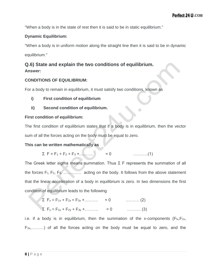"When a body is in the state of rest then it is said to be in static equilibrium."

#### **Dynamic Equilibrium:**

"When a body is in uniform motion along the straight line then it is said to be in dynamic equilibrium."

#### **Q.6) State and explain the two conditions of equilibrium. Answer:**

#### **CONDITIONS OF EQUILIBRIUM:**

For a body to remain in equilibrium, it must satisfy two conditions, known as

- **i) First condition of equilibrium**
- **ii) Second condition of equilibrium.**

#### **First condition of equilibrium:**

The first condition of equilibrium states that if a body is in equilibrium, then the vector sum of all the forces acting on the body must be equal to zero.

#### **This can be written mathematically as**

$$
\Sigma \ \mathsf{F} = \mathsf{F}_1 + \mathsf{F}_2 + \mathsf{F}_3 + \dots \dots \dots \ \big) \qquad = 0 \qquad \qquad \dots \dots \dots \dots \tag{1}
$$

The Greek letter sigma means summation. Thus  $\Sigma$  F represents the summation of all the forces  $F_1, F_2, F_3, \ldots, F_n$  acting on the body. It follows from the above statement that the linear acceleration of a body in equilibrium is zero. In two dimensions the first condition of equilibrium leads to the following

$$
\Sigma F_x = F_{1x} + F_{2x} + F_{3x} + \dots \dots \qquad = 0 \qquad \dots \dots \dots \qquad (2)
$$

$$
\Sigma F_y = F_{1y} + F_{2y} + F_{3y} + \dots \dots \qquad = 0 \qquad \dots \dots \dots \qquad (3)
$$

i.e. if a body is in equilibrium, then the summation of the x-components ( $F_{1x}F_{2x}$ ,  $F_{3x,......}$ ) of all the forces acting on the body must be equal to zero, and the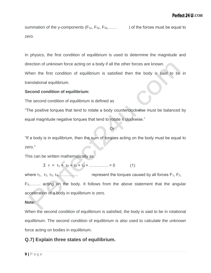summation of the y-components  $(F_{1y}, F_{2y}, F_{3y}, \ldots)$  of the forces must be equal to zero.

In physics, the first condition of equilibrium is used to determine the magnitude and direction of unknown force acting on a body if all the other forces are known. When the first condition of equilibrium is satisfied then the body is said to be in

translational equilibrium.

#### **Second condition of equilibrium:**

The second condition of equilibrium is defined as

**Oriented Street Contract Contract Oriented Street Contract Contract Contract Contract Contract Contract Contract Contract Contract Contract Contract Contract Contract Contract Contract Contract Contract Contract Contract** 

"The positive torques that tend to rotate a body counterclockwise must be balanced by equal magnitude negative torques that tend to rotate it clockwise."

"If a body is in equilibrium, then the sum of torques acting on the body must be equal to zero."

This can be written mathematically as

$$
\sum T = T_1 + T_2 + T_3 + T_4 + \dots + T_n = 0 \tag{1}
$$

where  $\tau_1$ ,  $\tau_2$ ,  $\tau_3$ ,  $\tau_4$ ,  $\ldots$ ,  $\ldots$ ,  $\ldots$  represent the torques caused by all forces  $F_1$ ,  $F_2$ , F3,…….. acting on the body. It follows from the above statement that the angular acceleration of a body in equilibrium is zero.

#### **Note:**

When the second condition of equilibrium is satisfied, the body is said to be in rotational equilibrium. The second condition of equilibrium is also used to calculate the unknown force acting on bodies in equilibrium.

#### **Q.7) Explain three states of equilibrium.**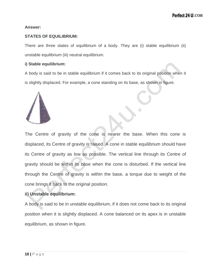#### **Answer:**

#### **STATES OF EQUILIBRIUM:**

There are three states of equilibrium of a body. They are (i) stable equilibrium (ii) unstable equilibrium (iii) neutral equilibrium.

#### **i) Stable equilibrium:**

A body is said to be in stable equilibrium if it comes back to its original position when it is slightly displaced. For example, a cone standing on its base, as shown in figure.



The Centre of gravity of the cone is nearer the base. When this cone is displaced, its Centre of gravity is raised. A cone in stable equilibrium should have its Centre of gravity as low as possible. The vertical line through its Centre of gravity should be within its base when the cone is disturbed. If the vertical line through the Centre of gravity is within the base, a torque due to weight of the cone brings it back to the original position.

#### **ii) Unstable equilibrium:**

A body is said to be in unstable equilibrium, if it does not come back to its original position when it is slightly displaced. A cone balanced on its apex is in unstable equilibrium, as shown in figure.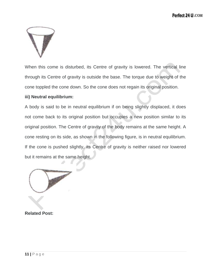

When this come is disturbed, its Centre of gravity is lowered. The vertical line through its Centre of gravity is outside the base. The torque due to weight of the cone toppled the cone down. So the cone does not regain its original position.

#### **iii) Neutral equilibrium:**

A body is said to be in neutral equilibrium if on being slightly displaced, it does not come back to its original position but occupies a new position similar to its original position. The Centre of gravity of the body remains at the same height. A cone resting on its side, as shown in the following figure, is in neutral equilibrium. If the cone is pushed slightly, its Centre of gravity is neither raised nor lowered but it remains at the same height.

**Related Post:**